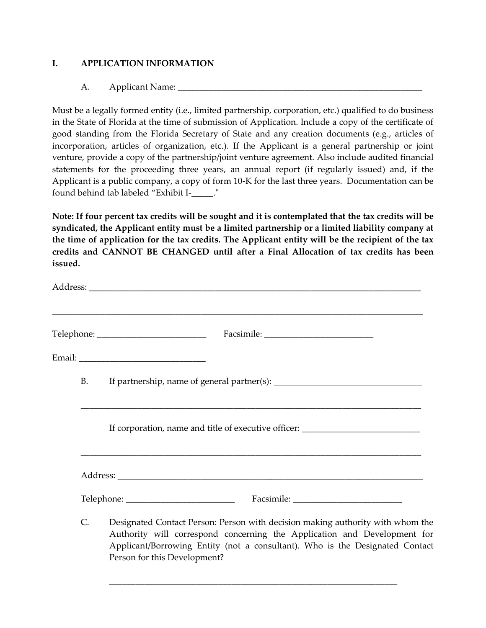# **I. APPLICATION INFORMATION**

## A. Applicant Name:

Must be a legally formed entity (i.e., limited partnership, corporation, etc.) qualified to do business in the State of Florida at the time of submission of Application. Include a copy of the certificate of good standing from the Florida Secretary of State and any creation documents (e.g., articles of incorporation, articles of organization, etc.). If the Applicant is a general partnership or joint venture, provide a copy of the partnership/joint venture agreement. Also include audited financial statements for the proceeding three years, an annual report (if regularly issued) and, if the Applicant is a public company, a copy of form 10-K for the last three years. Documentation can be found behind tab labeled "Exhibit I-\_\_\_\_\_."

**Note: If four percent tax credits will be sought and it is contemplated that the tax credits will be syndicated, the Applicant entity must be a limited partnership or a limited liability company at the time of application for the tax credits. The Applicant entity will be the recipient of the tax credits and CANNOT BE CHANGED until after a Final Allocation of tax credits has been issued.**

|           | ,我们也不能在这里,我们也不能在这里的时候,我们也不能会不能会不能会不能会不能会不能会不能会不能会不能会不能会。""我们,我们也不能会不能会不能会不能会不能会不<br>Telephone: ______________________________                                                                                                              |
|-----------|--------------------------------------------------------------------------------------------------------------------------------------------------------------------------------------------------------------------------------------------|
|           |                                                                                                                                                                                                                                            |
| <b>B.</b> |                                                                                                                                                                                                                                            |
|           | If corporation, name and title of executive officer: ___________________________                                                                                                                                                           |
|           |                                                                                                                                                                                                                                            |
|           |                                                                                                                                                                                                                                            |
| C.        | Designated Contact Person: Person with decision making authority with whom the<br>Authority will correspond concerning the Application and Development for<br>Applicant/Borrowing Entity (not a consultant). Who is the Designated Contact |

\_\_\_\_\_\_\_\_\_\_\_\_\_\_\_\_\_\_\_\_\_\_\_\_\_\_\_\_\_\_\_\_\_\_\_\_\_\_\_\_\_\_\_\_\_\_\_\_\_\_\_\_\_\_\_\_\_\_\_\_\_\_\_\_\_\_

Person for this Development?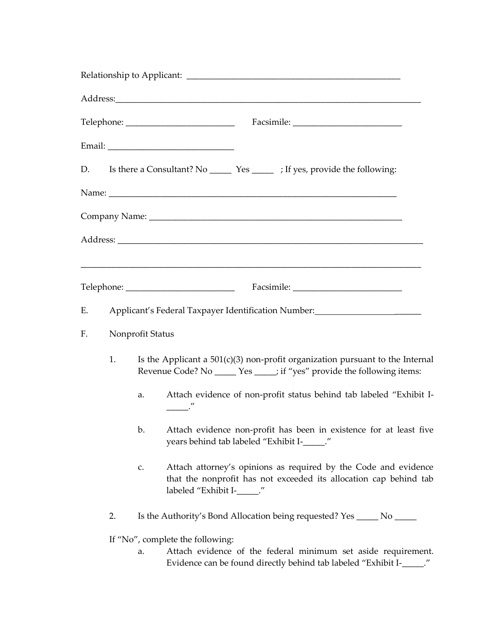| D. |                                                                    |                                                                                                                                                            | Is there a Consultant? No _________ Yes __________; If yes, provide the following:                                |                                                                                                                                       |  |  |  |  |
|----|--------------------------------------------------------------------|------------------------------------------------------------------------------------------------------------------------------------------------------------|-------------------------------------------------------------------------------------------------------------------|---------------------------------------------------------------------------------------------------------------------------------------|--|--|--|--|
|    |                                                                    |                                                                                                                                                            |                                                                                                                   |                                                                                                                                       |  |  |  |  |
|    |                                                                    |                                                                                                                                                            |                                                                                                                   |                                                                                                                                       |  |  |  |  |
|    |                                                                    |                                                                                                                                                            |                                                                                                                   |                                                                                                                                       |  |  |  |  |
|    |                                                                    |                                                                                                                                                            |                                                                                                                   |                                                                                                                                       |  |  |  |  |
|    |                                                                    |                                                                                                                                                            | Telephone: ______________________________                                                                         |                                                                                                                                       |  |  |  |  |
| Е. | Applicant's Federal Taxpayer Identification Number: 1988 1999 1999 |                                                                                                                                                            |                                                                                                                   |                                                                                                                                       |  |  |  |  |
| F. | Nonprofit Status                                                   |                                                                                                                                                            |                                                                                                                   |                                                                                                                                       |  |  |  |  |
|    | 1.                                                                 | Is the Applicant a $501(c)(3)$ non-profit organization pursuant to the Internal<br>Revenue Code? No _____ Yes _____; if "yes" provide the following items: |                                                                                                                   |                                                                                                                                       |  |  |  |  |
|    |                                                                    | a.                                                                                                                                                         | Attach evidence of non-profit status behind tab labeled "Exhibit I-                                               |                                                                                                                                       |  |  |  |  |
|    |                                                                    | b.                                                                                                                                                         | Attach evidence non-profit has been in existence for at least five<br>years behind tab labeled "Exhibit I-_____." |                                                                                                                                       |  |  |  |  |
|    |                                                                    | Attach attorney's opinions as required by the Code and evidence<br>that the nonprofit has not exceeded its allocation cap behind tab                       |                                                                                                                   |                                                                                                                                       |  |  |  |  |
|    | 2.                                                                 |                                                                                                                                                            | Is the Authority's Bond Allocation being requested? Yes ______ No _____                                           |                                                                                                                                       |  |  |  |  |
|    |                                                                    |                                                                                                                                                            | If "No", complete the following:                                                                                  |                                                                                                                                       |  |  |  |  |
|    |                                                                    | a.                                                                                                                                                         |                                                                                                                   | Attach evidence of the federal minimum set aside requirement.<br>Evidence can be found directly behind tab labeled "Exhibit I-_____." |  |  |  |  |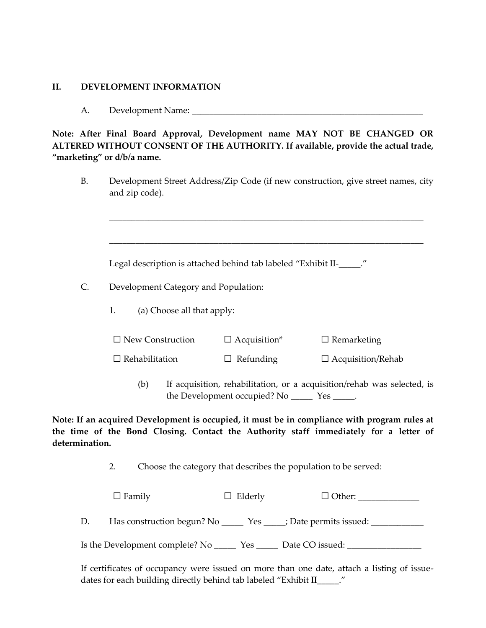#### **II. DEVELOPMENT INFORMATION**

#### A. Development Name: \_\_\_\_\_\_\_\_\_\_\_\_\_\_\_\_\_\_\_\_\_\_\_\_\_\_\_\_\_\_\_\_\_\_\_\_\_\_\_\_\_\_\_\_\_\_\_\_\_\_\_\_\_

# **Note: After Final Board Approval, Development name MAY NOT BE CHANGED OR ALTERED WITHOUT CONSENT OF THE AUTHORITY. If available, provide the actual trade, "marketing" or d/b/a name.**

B. Development Street Address/Zip Code (if new construction, give street names, city and zip code).

\_\_\_\_\_\_\_\_\_\_\_\_\_\_\_\_\_\_\_\_\_\_\_\_\_\_\_\_\_\_\_\_\_\_\_\_\_\_\_\_\_\_\_\_\_\_\_\_\_\_\_\_\_\_\_\_\_\_\_\_\_\_\_\_\_\_\_\_\_\_\_\_

\_\_\_\_\_\_\_\_\_\_\_\_\_\_\_\_\_\_\_\_\_\_\_\_\_\_\_\_\_\_\_\_\_\_\_\_\_\_\_\_\_\_\_\_\_\_\_\_\_\_\_\_\_\_\_\_\_\_\_\_\_\_\_\_\_\_\_\_\_\_\_\_

Legal description is attached behind tab labeled "Exhibit II-\_\_\_\_."

- C. Development Category and Population:
	- 1. (a) Choose all that apply:

| $\Box$ New Construction | $\Box$ Acquisition* | $\Box$ Remarketing |
|-------------------------|---------------------|--------------------|
|-------------------------|---------------------|--------------------|

□ Rehabilitation □ Refunding □ Acquisition/Rehab

(b) If acquisition, rehabilitation, or a acquisition/rehab was selected, is the Development occupied? No \_\_\_\_\_\_\_ Yes \_\_\_\_\_.

**Note: If an acquired Development is occupied, it must be in compliance with program rules at the time of the Bond Closing. Contact the Authority staff immediately for a letter of determination.**

2. Choose the category that describes the population to be served:

|    | $\Box$ Family                                                        | $\Box$ Elderly | $\Box$ Other:   |
|----|----------------------------------------------------------------------|----------------|-----------------|
| D. | Has construction begun? No ________ Yes ______; Date permits issued: |                |                 |
|    | Is the Development complete? No                                      | Yes            | Date CO issued: |

If certificates of occupancy were issued on more than one date, attach a listing of issuedates for each building directly behind tab labeled "Exhibit II".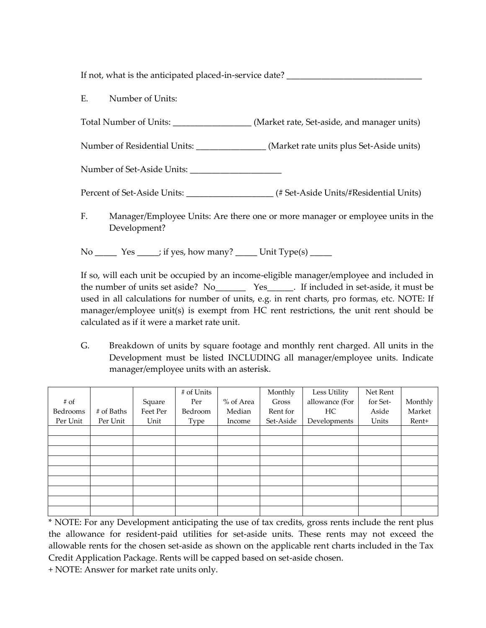If not, what is the anticipated placed-in-service date?

E. Number of Units:

Total Number of Units:  $(Market rate, Set- aside, and manager units)$ 

Number of Residential Units: \_\_\_\_\_\_\_\_\_\_\_\_\_\_\_\_ (Market rate units plus Set-Aside units)

Number of Set-Aside Units: \_\_\_\_\_\_\_\_\_\_\_\_\_\_\_\_\_\_\_\_\_

Percent of Set-Aside Units: \_\_\_\_\_\_\_\_\_\_\_\_\_\_\_\_\_\_\_\_\_\_\_ (# Set-Aside Units/#Residential Units)

F. Manager/Employee Units: Are there one or more manager or employee units in the Development?

 $No \_\_\_\_\$  Yes  $\_\_\_\$ if yes, how many?  $\_\_\_\_\$  Unit Type(s)  $\_\_\_\_\_\$ 

If so, will each unit be occupied by an income-eligible manager/employee and included in the number of units set aside? No\_\_\_\_\_\_\_\_\_\_\_ Yes\_\_\_\_\_\_\_. If included in set-aside, it must be used in all calculations for number of units, e.g. in rent charts, pro formas, etc. NOTE: If manager/employee unit(s) is exempt from HC rent restrictions, the unit rent should be calculated as if it were a market rate unit.

G. Breakdown of units by square footage and monthly rent charged. All units in the Development must be listed INCLUDING all manager/employee units. Indicate manager/employee units with an asterisk.

|          |            |          | # of Units |           | Monthly   | Less Utility   | Net Rent |         |
|----------|------------|----------|------------|-----------|-----------|----------------|----------|---------|
| $#$ of   |            | Square   | Per        | % of Area | Gross     | allowance (For | for Set- | Monthly |
| Bedrooms | # of Baths | Feet Per | Bedroom    | Median    | Rent for  | HC.            | Aside    | Market  |
| Per Unit | Per Unit   | Unit     | Type       | Income    | Set-Aside | Developments   | Units    | Rent+   |
|          |            |          |            |           |           |                |          |         |
|          |            |          |            |           |           |                |          |         |
|          |            |          |            |           |           |                |          |         |
|          |            |          |            |           |           |                |          |         |
|          |            |          |            |           |           |                |          |         |
|          |            |          |            |           |           |                |          |         |
|          |            |          |            |           |           |                |          |         |
|          |            |          |            |           |           |                |          |         |
|          |            |          |            |           |           |                |          |         |

\* NOTE: For any Development anticipating the use of tax credits, gross rents include the rent plus the allowance for resident-paid utilities for set-aside units. These rents may not exceed the allowable rents for the chosen set-aside as shown on the applicable rent charts included in the Tax Credit Application Package. Rents will be capped based on set-aside chosen.

+ NOTE: Answer for market rate units only.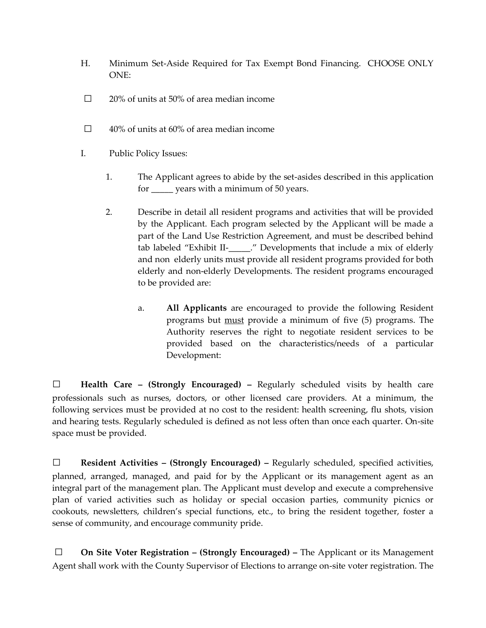- H. Minimum Set-Aside Required for Tax Exempt Bond Financing. CHOOSE ONLY ONE:
- $\Box$  20% of units at 50% of area median income
- $\Box$  40% of units at 60% of area median income
- I. Public Policy Issues:
	- 1. The Applicant agrees to abide by the set-asides described in this application for \_\_\_\_\_ years with a minimum of 50 years.
	- 2. Describe in detail all resident programs and activities that will be provided by the Applicant. Each program selected by the Applicant will be made a part of the Land Use Restriction Agreement, and must be described behind tab labeled "Exhibit II-\_\_\_\_\_." Developments that include a mix of elderly and non elderly units must provide all resident programs provided for both elderly and non-elderly Developments. The resident programs encouraged to be provided are:
		- a. **All Applicants** are encouraged to provide the following Resident programs but must provide a minimum of five (5) programs. The Authority reserves the right to negotiate resident services to be provided based on the characteristics/needs of a particular Development:

□ **Health Care – (Strongly Encouraged) –** Regularly scheduled visits by health care professionals such as nurses, doctors, or other licensed care providers. At a minimum, the following services must be provided at no cost to the resident: health screening, flu shots, vision and hearing tests. Regularly scheduled is defined as not less often than once each quarter. On-site space must be provided.

□ **Resident Activities – (Strongly Encouraged) –** Regularly scheduled, specified activities, planned, arranged, managed, and paid for by the Applicant or its management agent as an integral part of the management plan. The Applicant must develop and execute a comprehensive plan of varied activities such as holiday or special occasion parties, community picnics or cookouts, newsletters, children's special functions, etc., to bring the resident together, foster a sense of community, and encourage community pride.

□ **On Site Voter Registration – (Strongly Encouraged) –** The Applicant or its Management Agent shall work with the County Supervisor of Elections to arrange on-site voter registration. The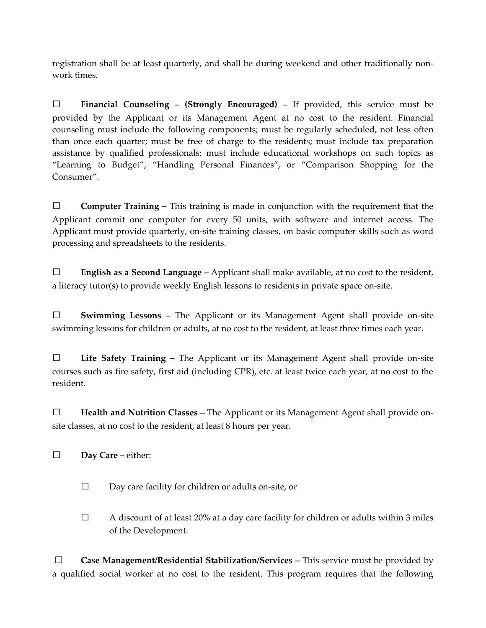registration shall be at least quarterly, and shall be during weekend and other traditionally nonwork times.

□ **Financial Counseling – (Strongly Encouraged) –** If provided, this service must be provided by the Applicant or its Management Agent at no cost to the resident. Financial counseling must include the following components; must be regularly scheduled, not less often than once each quarter; must be free of charge to the residents; must include tax preparation assistance by qualified professionals; must include educational workshops on such topics as "Learning to Budget", "Handling Personal Finances", or "Comparison Shopping for the Consumer".

□ **Computer Training –** This training is made in conjunction with the requirement that the Applicant commit one computer for every 50 units, with software and internet access. The Applicant must provide quarterly, on-site training classes, on basic computer skills such as word processing and spreadsheets to the residents.

□ **English as a Second Language –** Applicant shall make available, at no cost to the resident, a literacy tutor(s) to provide weekly English lessons to residents in private space on-site.

□ **Swimming Lessons –** The Applicant or its Management Agent shall provide on-site swimming lessons for children or adults, at no cost to the resident, at least three times each year.

□ **Life Safety Training –** The Applicant or its Management Agent shall provide on-site courses such as fire safety, first aid (including CPR), etc. at least twice each year, at no cost to the resident.

□ **Health and Nutrition Classes –** The Applicant or its Management Agent shall provide onsite classes, at no cost to the resident, at least 8 hours per year.

□ **Day Care –** either:

- □ Day care facility for children or adults on-site, or
- $\Box$  A discount of at least 20% at a day care facility for children or adults within 3 miles of the Development.

□ **Case Management/Residential Stabilization/Services –** This service must be provided by a qualified social worker at no cost to the resident. This program requires that the following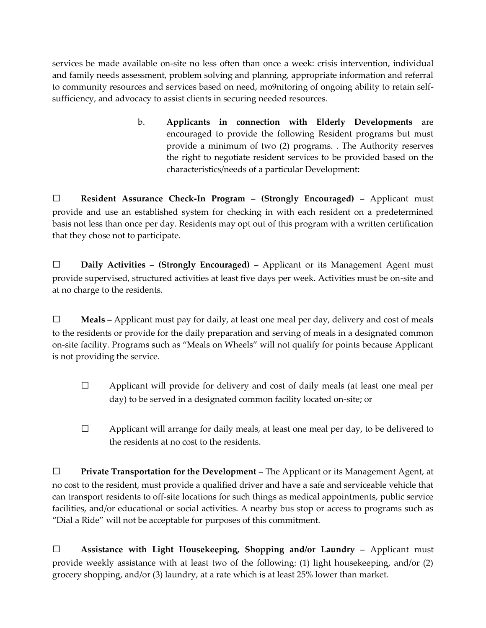services be made available on-site no less often than once a week: crisis intervention, individual and family needs assessment, problem solving and planning, appropriate information and referral to community resources and services based on need, mo9nitoring of ongoing ability to retain selfsufficiency, and advocacy to assist clients in securing needed resources.

> b. **Applicants in connection with Elderly Developments** are encouraged to provide the following Resident programs but must provide a minimum of two (2) programs. . The Authority reserves the right to negotiate resident services to be provided based on the characteristics/needs of a particular Development:

□ **Resident Assurance Check-In Program – (Strongly Encouraged) –** Applicant must provide and use an established system for checking in with each resident on a predetermined basis not less than once per day. Residents may opt out of this program with a written certification that they chose not to participate.

□ **Daily Activities – (Strongly Encouraged) –** Applicant or its Management Agent must provide supervised, structured activities at least five days per week. Activities must be on-site and at no charge to the residents.

□ **Meals –** Applicant must pay for daily, at least one meal per day, delivery and cost of meals to the residents or provide for the daily preparation and serving of meals in a designated common on-site facility. Programs such as "Meals on Wheels" will not qualify for points because Applicant is not providing the service.

- $\Box$  Applicant will provide for delivery and cost of daily meals (at least one meal per day) to be served in a designated common facility located on-site; or
- $\Box$  Applicant will arrange for daily meals, at least one meal per day, to be delivered to the residents at no cost to the residents.

□ **Private Transportation for the Development –** The Applicant or its Management Agent, at no cost to the resident, must provide a qualified driver and have a safe and serviceable vehicle that can transport residents to off-site locations for such things as medical appointments, public service facilities, and/or educational or social activities. A nearby bus stop or access to programs such as "Dial a Ride" will not be acceptable for purposes of this commitment.

□ **Assistance with Light Housekeeping, Shopping and/or Laundry –** Applicant must provide weekly assistance with at least two of the following: (1) light housekeeping, and/or (2) grocery shopping, and/or (3) laundry, at a rate which is at least 25% lower than market.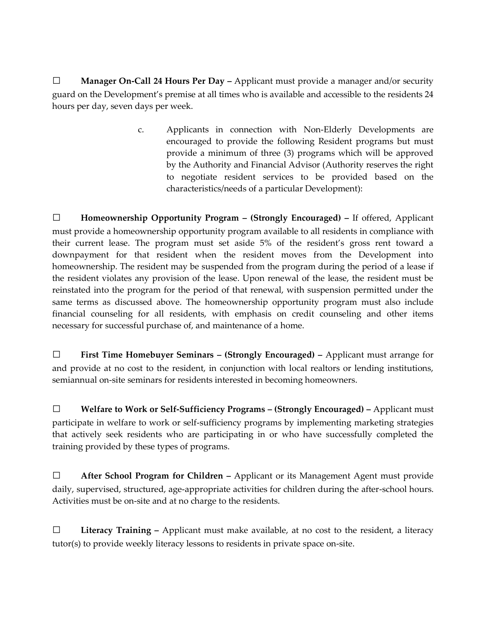□ **Manager On-Call 24 Hours Per Day –** Applicant must provide a manager and/or security guard on the Development's premise at all times who is available and accessible to the residents 24 hours per day, seven days per week.

> c. Applicants in connection with Non-Elderly Developments are encouraged to provide the following Resident programs but must provide a minimum of three (3) programs which will be approved by the Authority and Financial Advisor (Authority reserves the right to negotiate resident services to be provided based on the characteristics/needs of a particular Development):

□ **Homeownership Opportunity Program – (Strongly Encouraged) –** If offered, Applicant must provide a homeownership opportunity program available to all residents in compliance with their current lease. The program must set aside 5% of the resident's gross rent toward a downpayment for that resident when the resident moves from the Development into homeownership. The resident may be suspended from the program during the period of a lease if the resident violates any provision of the lease. Upon renewal of the lease, the resident must be reinstated into the program for the period of that renewal, with suspension permitted under the same terms as discussed above. The homeownership opportunity program must also include financial counseling for all residents, with emphasis on credit counseling and other items necessary for successful purchase of, and maintenance of a home.

□ **First Time Homebuyer Seminars – (Strongly Encouraged) –** Applicant must arrange for and provide at no cost to the resident, in conjunction with local realtors or lending institutions, semiannual on-site seminars for residents interested in becoming homeowners.

□ **Welfare to Work or Self-Sufficiency Programs – (Strongly Encouraged) –** Applicant must participate in welfare to work or self-sufficiency programs by implementing marketing strategies that actively seek residents who are participating in or who have successfully completed the training provided by these types of programs.

□ **After School Program for Children –** Applicant or its Management Agent must provide daily, supervised, structured, age-appropriate activities for children during the after-school hours. Activities must be on-site and at no charge to the residents.

□ **Literacy Training –** Applicant must make available, at no cost to the resident, a literacy tutor(s) to provide weekly literacy lessons to residents in private space on-site.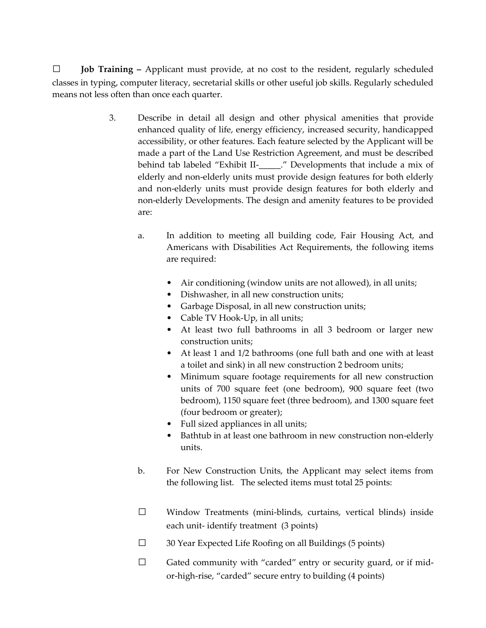□ **Job Training –** Applicant must provide, at no cost to the resident, regularly scheduled classes in typing, computer literacy, secretarial skills or other useful job skills. Regularly scheduled means not less often than once each quarter.

- 3. Describe in detail all design and other physical amenities that provide enhanced quality of life, energy efficiency, increased security, handicapped accessibility, or other features. Each feature selected by the Applicant will be made a part of the Land Use Restriction Agreement, and must be described behind tab labeled "Exhibit II-\_\_\_\_\_." Developments that include a mix of elderly and non-elderly units must provide design features for both elderly and non-elderly units must provide design features for both elderly and non-elderly Developments. The design and amenity features to be provided are:
	- a. In addition to meeting all building code, Fair Housing Act, and Americans with Disabilities Act Requirements, the following items are required:
		- Air conditioning (window units are not allowed), in all units;
		- Dishwasher, in all new construction units;
		- Garbage Disposal, in all new construction units;
		- Cable TV Hook-Up, in all units;
		- At least two full bathrooms in all 3 bedroom or larger new construction units;
		- At least 1 and 1/2 bathrooms (one full bath and one with at least a toilet and sink) in all new construction 2 bedroom units;
		- Minimum square footage requirements for all new construction units of 700 square feet (one bedroom), 900 square feet (two bedroom), 1150 square feet (three bedroom), and 1300 square feet (four bedroom or greater);
		- Full sized appliances in all units;
		- Bathtub in at least one bathroom in new construction non-elderly units.
	- b. For New Construction Units, the Applicant may select items from the following list. The selected items must total 25 points:
	- □ Window Treatments (mini-blinds, curtains, vertical blinds) inside each unit- identify treatment (3 points)
	- $\Box$  30 Year Expected Life Roofing on all Buildings (5 points)
	- $\square$  Gated community with "carded" entry or security guard, or if midor-high-rise, "carded" secure entry to building (4 points)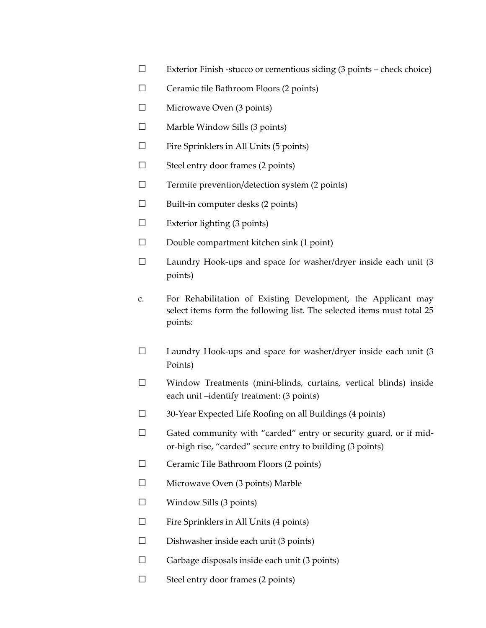- $\square$  Exterior Finish -stucco or cementious siding (3 points check choice)
- □ Ceramic tile Bathroom Floors (2 points)
- □ Microwave Oven (3 points)
- $\Box$  Marble Window Sills (3 points)
- $\square$  Fire Sprinklers in All Units (5 points)
- $\Box$  Steel entry door frames (2 points)
- $\Box$  Termite prevention/detection system (2 points)
- $\square$  Built-in computer desks (2 points)
- $\Box$  Exterior lighting (3 points)
- □ Double compartment kitchen sink (1 point)
- $\square$  Laundry Hook-ups and space for washer/dryer inside each unit (3 points)
- c. For Rehabilitation of Existing Development, the Applicant may select items form the following list. The selected items must total 25 points:
- $\square$  Laundry Hook-ups and space for washer/dryer inside each unit (3) Points)
- □ Window Treatments (mini-blinds, curtains, vertical blinds) inside each unit –identify treatment: (3 points)
- □ 30-Year Expected Life Roofing on all Buildings (4 points)
- $\Box$  Gated community with "carded" entry or security guard, or if midor-high rise, "carded" secure entry to building (3 points)
- □ Ceramic Tile Bathroom Floors (2 points)
- □ Microwave Oven (3 points) Marble
- $\Box$  Window Sills (3 points)
- $\Box$  Fire Sprinklers in All Units (4 points)
- $\square$  Dishwasher inside each unit (3 points)
- $\Box$  Garbage disposals inside each unit (3 points)
- $\Box$  Steel entry door frames (2 points)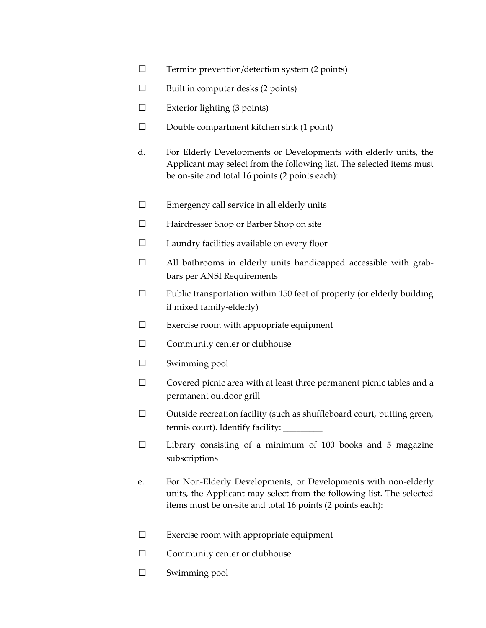- $\Box$  Termite prevention/detection system (2 points)
- $\square$  Built in computer desks (2 points)
- $\square$  Exterior lighting (3 points)
- $\square$  Double compartment kitchen sink (1 point)
- d. For Elderly Developments or Developments with elderly units, the Applicant may select from the following list. The selected items must be on-site and total 16 points (2 points each):
- $\square$  Emergency call service in all elderly units
- □ Hairdresser Shop or Barber Shop on site
- □ Laundry facilities available on every floor
- $\Box$  All bathrooms in elderly units handicapped accessible with grabbars per ANSI Requirements
- $\square$  Public transportation within 150 feet of property (or elderly building if mixed family-elderly)
- $\square$  Exercise room with appropriate equipment
- □ Community center or clubhouse
- □ Swimming pool
- □ Covered picnic area with at least three permanent picnic tables and a permanent outdoor grill
- □ Outside recreation facility (such as shuffleboard court, putting green, tennis court). Identify facility:
- □ Library consisting of a minimum of 100 books and 5 magazine subscriptions
- e. For Non-Elderly Developments, or Developments with non-elderly units, the Applicant may select from the following list. The selected items must be on-site and total 16 points (2 points each):
- $\square$  Exercise room with appropriate equipment
- □ Community center or clubhouse
- □ Swimming pool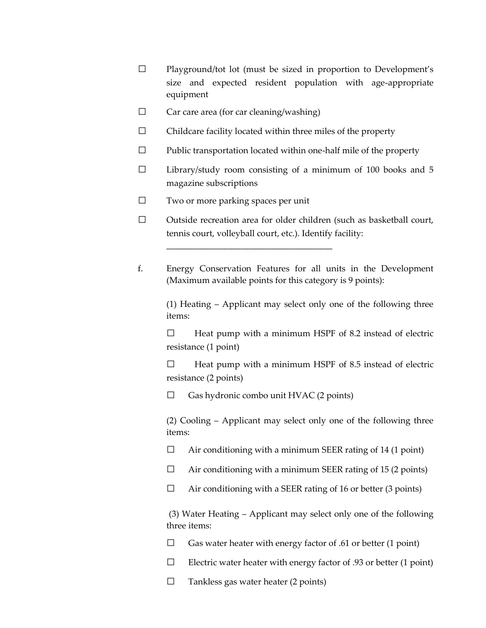- □ Playground/tot lot (must be sized in proportion to Development's size and expected resident population with age-appropriate equipment
- $\Box$  Car care area (for car cleaning/washing)
- $\square$  Childcare facility located within three miles of the property
- $\Box$  Public transportation located within one-half mile of the property
- $\Box$  Library/study room consisting of a minimum of 100 books and 5 magazine subscriptions
- □ Two or more parking spaces per unit

\_\_\_\_\_\_\_\_\_\_\_\_\_\_\_\_\_\_\_\_\_\_\_\_\_\_\_\_\_\_\_\_\_\_\_\_\_\_

- □ Outside recreation area for older children (such as basketball court, tennis court, volleyball court, etc.). Identify facility:
- f. Energy Conservation Features for all units in the Development (Maximum available points for this category is 9 points):

(1) Heating – Applicant may select only one of the following three items:

 $\Box$  Heat pump with a minimum HSPF of 8.2 instead of electric resistance (1 point)

 $\Box$  Heat pump with a minimum HSPF of 8.5 instead of electric resistance (2 points)

 $\Box$  Gas hydronic combo unit HVAC (2 points)

(2) Cooling – Applicant may select only one of the following three items:

 $\Box$  Air conditioning with a minimum SEER rating of 14 (1 point)

- $\Box$  Air conditioning with a minimum SEER rating of 15 (2 points)
- $\Box$  Air conditioning with a SEER rating of 16 or better (3 points)

(3) Water Heating – Applicant may select only one of the following three items:

 $\Box$  Gas water heater with energy factor of .61 or better (1 point)

- $\Box$  Electric water heater with energy factor of .93 or better (1 point)
- $\Box$  Tankless gas water heater (2 points)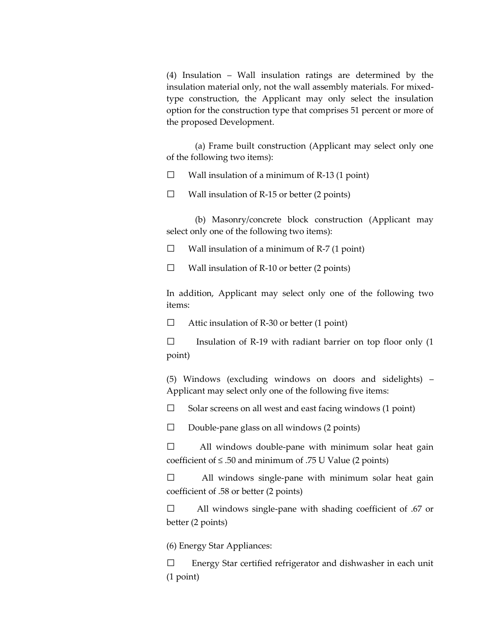(4) Insulation – Wall insulation ratings are determined by the insulation material only, not the wall assembly materials. For mixedtype construction, the Applicant may only select the insulation option for the construction type that comprises 51 percent or more of the proposed Development.

(a) Frame built construction (Applicant may select only one of the following two items):

 $\Box$  Wall insulation of a minimum of R-13 (1 point)

 $\Box$  Wall insulation of R-15 or better (2 points)

(b) Masonry/concrete block construction (Applicant may select only one of the following two items):

 $\Box$  Wall insulation of a minimum of R-7 (1 point)

 $\Box$  Wall insulation of R-10 or better (2 points)

In addition, Applicant may select only one of the following two items:

 $\Box$  Attic insulation of R-30 or better (1 point)

 $\square$  Insulation of R-19 with radiant barrier on top floor only (1 point)

(5) Windows (excluding windows on doors and sidelights) – Applicant may select only one of the following five items:

 $\Box$  Solar screens on all west and east facing windows (1 point)

 $\Box$  Double-pane glass on all windows (2 points)

 $\Box$  All windows double-pane with minimum solar heat gain coefficient of  $\leq$  .50 and minimum of .75 U Value (2 points)

□ All windows single-pane with minimum solar heat gain coefficient of .58 or better (2 points)

□ All windows single-pane with shading coefficient of .67 or better (2 points)

(6) Energy Star Appliances:

 $\square$  Energy Star certified refrigerator and dishwasher in each unit (1 point)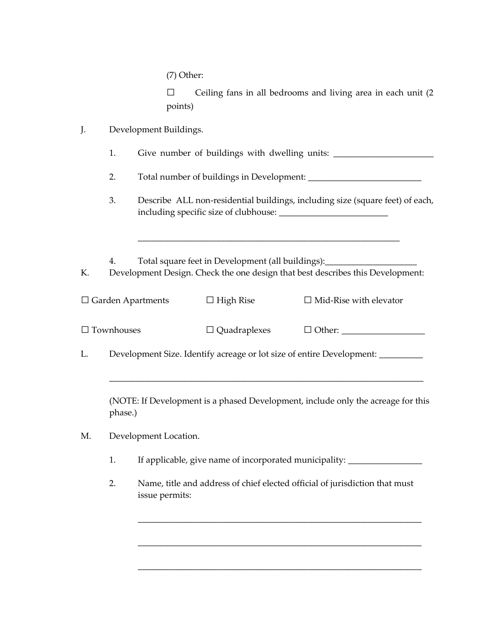$\square$  Ceiling fans in all bedrooms and living area in each unit  $(2 \square)$ points)

| J.<br>Development Buildings. |  |
|------------------------------|--|
|------------------------------|--|

|  | Give number of buildings with dwelling units: |  |  |
|--|-----------------------------------------------|--|--|
|  |                                               |  |  |

2. Total number of buildings in Development: \_\_\_\_\_\_\_\_\_\_\_\_\_\_\_\_\_\_\_\_\_\_\_\_\_\_\_\_\_\_\_\_\_\_\_

3. Describe ALL non-residential buildings, including size (square feet) of each, including specific size of clubhouse: \_\_\_\_\_\_\_\_\_\_\_\_\_\_\_\_\_\_\_\_\_\_\_\_\_

\_\_\_\_\_\_\_\_\_\_\_\_\_\_\_\_\_\_\_\_\_\_\_\_\_\_\_\_\_\_\_\_\_\_\_\_\_\_\_\_\_\_\_\_\_\_\_\_\_\_\_\_\_\_\_\_\_\_\_\_

4. Total square feet in Development (all buildings):\_\_\_\_\_\_\_\_\_\_\_\_\_\_\_\_\_\_\_\_\_

K. Development Design. Check the one design that best describes this Development:

| $\Box$ Garden Apartments | $\Box$ High Rise    | $\Box$ Mid-Rise with elevator |  |
|--------------------------|---------------------|-------------------------------|--|
| $\Box$ Townhouses        | $\Box$ Quadraplexes | $\Box$ Other:                 |  |
| $\sim$ $\sim$ $\sim$     |                     | .                             |  |

L. Development Size. Identify acreage or lot size of entire Development: \_\_\_\_\_\_\_\_

(NOTE: If Development is a phased Development, include only the acreage for this phase.)

\_\_\_\_\_\_\_\_\_\_\_\_\_\_\_\_\_\_\_\_\_\_\_\_\_\_\_\_\_\_\_\_\_\_\_\_\_\_\_\_\_\_\_\_\_\_\_\_\_\_\_\_\_\_\_\_\_\_\_\_\_\_\_\_\_\_\_\_\_\_\_\_

- M. Development Location.
	- 1. If applicable, give name of incorporated municipality: \_\_\_\_\_\_\_\_\_\_\_\_\_\_\_\_\_\_\_\_\_\_
	- 2. Name, title and address of chief elected official of jurisdiction that must issue permits:

\_\_\_\_\_\_\_\_\_\_\_\_\_\_\_\_\_\_\_\_\_\_\_\_\_\_\_\_\_\_\_\_\_\_\_\_\_\_\_\_\_\_\_\_\_\_\_\_\_\_\_\_\_\_\_\_\_\_\_\_\_\_\_\_\_

\_\_\_\_\_\_\_\_\_\_\_\_\_\_\_\_\_\_\_\_\_\_\_\_\_\_\_\_\_\_\_\_\_\_\_\_\_\_\_\_\_\_\_\_\_\_\_\_\_\_\_\_\_\_\_\_\_\_\_\_\_\_\_\_\_

\_\_\_\_\_\_\_\_\_\_\_\_\_\_\_\_\_\_\_\_\_\_\_\_\_\_\_\_\_\_\_\_\_\_\_\_\_\_\_\_\_\_\_\_\_\_\_\_\_\_\_\_\_\_\_\_\_\_\_\_\_\_\_\_\_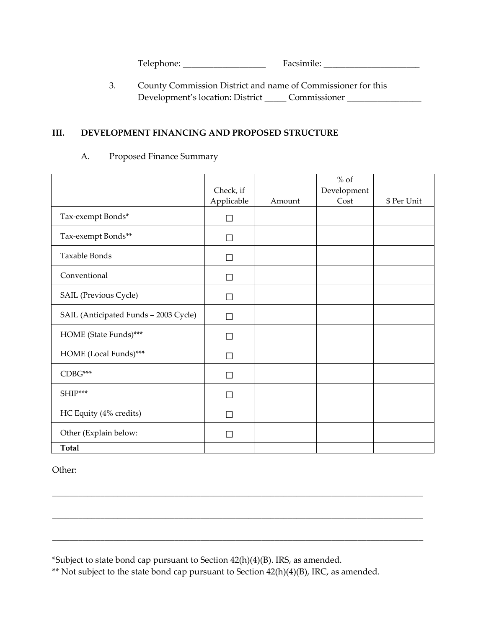Telephone: \_\_\_\_\_\_\_\_\_\_\_\_\_\_\_\_\_\_\_ Facsimile: \_\_\_\_\_\_\_\_\_\_\_\_\_\_\_\_\_\_\_\_\_\_

3. County Commission District and name of Commissioner for this Development's location: District \_\_\_\_\_ Commissioner \_\_\_\_\_\_\_\_\_\_\_\_\_\_\_\_\_

# **III. DEVELOPMENT FINANCING AND PROPOSED STRUCTURE**

#### A. Proposed Finance Summary

|                                       | Check, if<br>Applicable | Amount | $\%$ of<br>Development<br>Cost | \$ Per Unit |
|---------------------------------------|-------------------------|--------|--------------------------------|-------------|
| Tax-exempt Bonds*                     | $\Box$                  |        |                                |             |
| Tax-exempt Bonds**                    | $\vert \ \ \vert$       |        |                                |             |
| <b>Taxable Bonds</b>                  | $\mathsf{L}$            |        |                                |             |
| Conventional                          | $\Box$                  |        |                                |             |
| SAIL (Previous Cycle)                 | П                       |        |                                |             |
| SAIL (Anticipated Funds - 2003 Cycle) | $\vert \ \ \vert$       |        |                                |             |
| HOME (State Funds)***                 | $\vert \ \ \vert$       |        |                                |             |
| HOME (Local Funds)***                 | ΙI                      |        |                                |             |
| CDBG***                               | ΙI                      |        |                                |             |
| SHIP***                               | П                       |        |                                |             |
| HC Equity (4% credits)                | П                       |        |                                |             |
| Other (Explain below:                 | $\sim$                  |        |                                |             |
| <b>Total</b>                          |                         |        |                                |             |

\_\_\_\_\_\_\_\_\_\_\_\_\_\_\_\_\_\_\_\_\_\_\_\_\_\_\_\_\_\_\_\_\_\_\_\_\_\_\_\_\_\_\_\_\_\_\_\_\_\_\_\_\_\_\_\_\_\_\_\_\_\_\_\_\_\_\_\_\_\_\_\_\_\_\_\_\_\_\_\_\_\_\_\_\_

Other:

\*Subject to state bond cap pursuant to Section 42(h)(4)(B). IRS, as amended.

\*\* Not subject to the state bond cap pursuant to Section 42(h)(4)(B), IRC, as amended.

\_\_\_\_\_\_\_\_\_\_\_\_\_\_\_\_\_\_\_\_\_\_\_\_\_\_\_\_\_\_\_\_\_\_\_\_\_\_\_\_\_\_\_\_\_\_\_\_\_\_\_\_\_\_\_\_\_\_\_\_\_\_\_\_\_\_\_\_\_\_\_\_\_\_\_\_\_\_\_\_\_\_\_\_\_

\_\_\_\_\_\_\_\_\_\_\_\_\_\_\_\_\_\_\_\_\_\_\_\_\_\_\_\_\_\_\_\_\_\_\_\_\_\_\_\_\_\_\_\_\_\_\_\_\_\_\_\_\_\_\_\_\_\_\_\_\_\_\_\_\_\_\_\_\_\_\_\_\_\_\_\_\_\_\_\_\_\_\_\_\_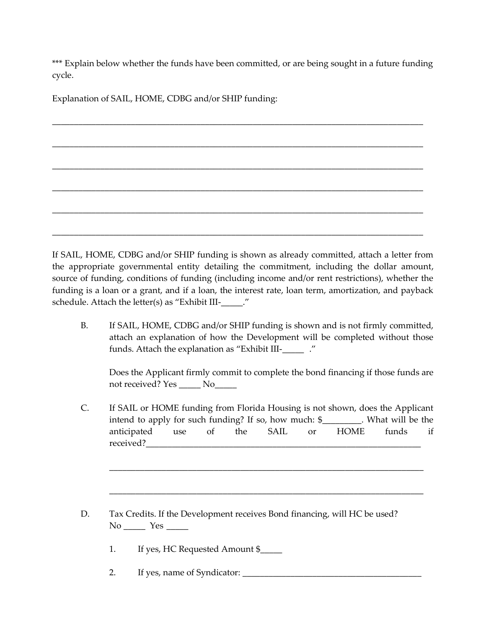\*\*\* Explain below whether the funds have been committed, or are being sought in a future funding cycle.

\_\_\_\_\_\_\_\_\_\_\_\_\_\_\_\_\_\_\_\_\_\_\_\_\_\_\_\_\_\_\_\_\_\_\_\_\_\_\_\_\_\_\_\_\_\_\_\_\_\_\_\_\_\_\_\_\_\_\_\_\_\_\_\_\_\_\_\_\_\_\_\_\_\_\_\_\_\_\_\_\_\_\_\_\_

\_\_\_\_\_\_\_\_\_\_\_\_\_\_\_\_\_\_\_\_\_\_\_\_\_\_\_\_\_\_\_\_\_\_\_\_\_\_\_\_\_\_\_\_\_\_\_\_\_\_\_\_\_\_\_\_\_\_\_\_\_\_\_\_\_\_\_\_\_\_\_\_\_\_\_\_\_\_\_\_\_\_\_\_\_

\_\_\_\_\_\_\_\_\_\_\_\_\_\_\_\_\_\_\_\_\_\_\_\_\_\_\_\_\_\_\_\_\_\_\_\_\_\_\_\_\_\_\_\_\_\_\_\_\_\_\_\_\_\_\_\_\_\_\_\_\_\_\_\_\_\_\_\_\_\_\_\_\_\_\_\_\_\_\_\_\_\_\_\_\_

\_\_\_\_\_\_\_\_\_\_\_\_\_\_\_\_\_\_\_\_\_\_\_\_\_\_\_\_\_\_\_\_\_\_\_\_\_\_\_\_\_\_\_\_\_\_\_\_\_\_\_\_\_\_\_\_\_\_\_\_\_\_\_\_\_\_\_\_\_\_\_\_\_\_\_\_\_\_\_\_\_\_\_\_\_

\_\_\_\_\_\_\_\_\_\_\_\_\_\_\_\_\_\_\_\_\_\_\_\_\_\_\_\_\_\_\_\_\_\_\_\_\_\_\_\_\_\_\_\_\_\_\_\_\_\_\_\_\_\_\_\_\_\_\_\_\_\_\_\_\_\_\_\_\_\_\_\_\_\_\_\_\_\_\_\_\_\_\_\_\_

\_\_\_\_\_\_\_\_\_\_\_\_\_\_\_\_\_\_\_\_\_\_\_\_\_\_\_\_\_\_\_\_\_\_\_\_\_\_\_\_\_\_\_\_\_\_\_\_\_\_\_\_\_\_\_\_\_\_\_\_\_\_\_\_\_\_\_\_\_\_\_\_\_\_\_\_\_\_\_\_\_\_\_\_\_

Explanation of SAIL, HOME, CDBG and/or SHIP funding:

If SAIL, HOME, CDBG and/or SHIP funding is shown as already committed, attach a letter from the appropriate governmental entity detailing the commitment, including the dollar amount, source of funding, conditions of funding (including income and/or rent restrictions), whether the funding is a loan or a grant, and if a loan, the interest rate, loan term, amortization, and payback schedule. Attach the letter(s) as "Exhibit III-\_\_\_\_\_."

B. If SAIL, HOME, CDBG and/or SHIP funding is shown and is not firmly committed, attach an explanation of how the Development will be completed without those funds. Attach the explanation as "Exhibit III-\_\_\_\_\_ ."

Does the Applicant firmly commit to complete the bond financing if those funds are not received? Yes \_\_\_\_\_ No\_\_\_\_\_

C. If SAIL or HOME funding from Florida Housing is not shown, does the Applicant intend to apply for such funding? If so, how much: \$ What will be the anticipated use of the SAIL or HOME funds if received?

\_\_\_\_\_\_\_\_\_\_\_\_\_\_\_\_\_\_\_\_\_\_\_\_\_\_\_\_\_\_\_\_\_\_\_\_\_\_\_\_\_\_\_\_\_\_\_\_\_\_\_\_\_\_\_\_\_\_\_\_\_\_\_\_\_\_\_\_\_\_\_\_

\_\_\_\_\_\_\_\_\_\_\_\_\_\_\_\_\_\_\_\_\_\_\_\_\_\_\_\_\_\_\_\_\_\_\_\_\_\_\_\_\_\_\_\_\_\_\_\_\_\_\_\_\_\_\_\_\_\_\_\_\_\_\_\_\_\_\_\_\_\_\_\_

- D. Tax Credits. If the Development receives Bond financing, will HC be used? No \_\_\_\_\_\_ Yes \_\_\_\_\_
	- 1. If yes, HC Requested Amount \$\_\_\_\_\_
	- 2. If yes, name of Syndicator: \_\_\_\_\_\_\_\_\_\_\_\_\_\_\_\_\_\_\_\_\_\_\_\_\_\_\_\_\_\_\_\_\_\_\_\_\_\_\_\_\_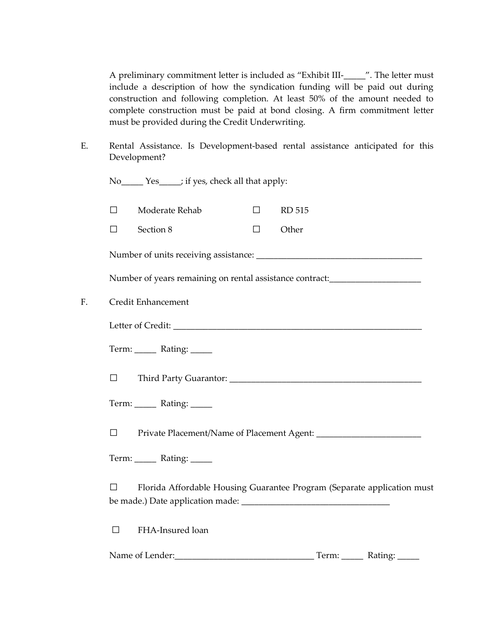A preliminary commitment letter is included as "Exhibit III-\_\_\_\_\_". The letter must include a description of how the syndication funding will be paid out during construction and following completion. At least 50% of the amount needed to complete construction must be paid at bond closing. A firm commitment letter must be provided during the Credit Underwriting.

E. Rental Assistance. Is Development-based rental assistance anticipated for this Development?

|    |        | No ________ Yes ______; if yes, check all that apply:                            |        |               |                           |
|----|--------|----------------------------------------------------------------------------------|--------|---------------|---------------------------|
|    | $\Box$ | Moderate Rehab                                                                   | $\Box$ | <b>RD 515</b> |                           |
|    | $\Box$ | Section 8                                                                        | $\Box$ | Other         |                           |
|    |        |                                                                                  |        |               |                           |
|    |        | Number of years remaining on rental assistance contract:________________________ |        |               |                           |
| F. |        | Credit Enhancement                                                               |        |               |                           |
|    |        |                                                                                  |        |               |                           |
|    |        | Term: ______ Rating: _____                                                       |        |               |                           |
|    | $\Box$ |                                                                                  |        |               |                           |
|    |        | Term: ______ Rating: _____                                                       |        |               |                           |
|    | $\Box$ |                                                                                  |        |               |                           |
|    |        | Term: ______ Rating: _____                                                       |        |               |                           |
|    | П      | Florida Affordable Housing Guarantee Program (Separate application must          |        |               |                           |
|    | П      | FHA-Insured loan                                                                 |        |               |                           |
|    |        | Name of Lender:                                                                  |        |               | Term: ______ Rating: ____ |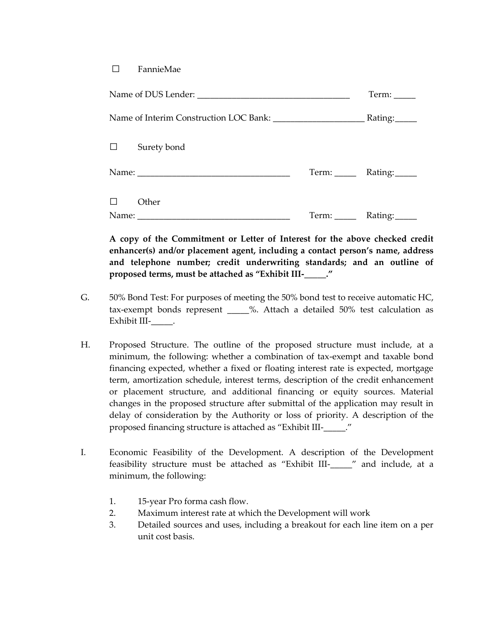#### □ FannieMae

|        | Term:              |                             |
|--------|--------------------|-----------------------------|
|        |                    |                             |
|        | $\Box$ Surety bond |                             |
|        |                    | Term: ______ Rating: ______ |
| $\Box$ | Other              | Rating:                     |

**A copy of the Commitment or Letter of Interest for the above checked credit enhancer(s) and/or placement agent, including a contact person's name, address and telephone number; credit underwriting standards; and an outline of proposed terms, must be attached as "Exhibit III-\_\_\_\_\_."**

- G. 50% Bond Test: For purposes of meeting the 50% bond test to receive automatic HC, tax-exempt bonds represent \_\_\_\_\_%. Attach a detailed 50% test calculation as Exhibit III-\_\_\_\_\_\_\_\_.
- H. Proposed Structure. The outline of the proposed structure must include, at a minimum, the following: whether a combination of tax-exempt and taxable bond financing expected, whether a fixed or floating interest rate is expected, mortgage term, amortization schedule, interest terms, description of the credit enhancement or placement structure, and additional financing or equity sources. Material changes in the proposed structure after submittal of the application may result in delay of consideration by the Authority or loss of priority. A description of the proposed financing structure is attached as "Exhibit III-\_\_\_\_\_."
- I. Economic Feasibility of the Development. A description of the Development feasibility structure must be attached as "Exhibit III-\_\_\_\_\_" and include, at a minimum, the following:
	- 1. 15-year Pro forma cash flow.
	- 2. Maximum interest rate at which the Development will work
	- 3. Detailed sources and uses, including a breakout for each line item on a per unit cost basis.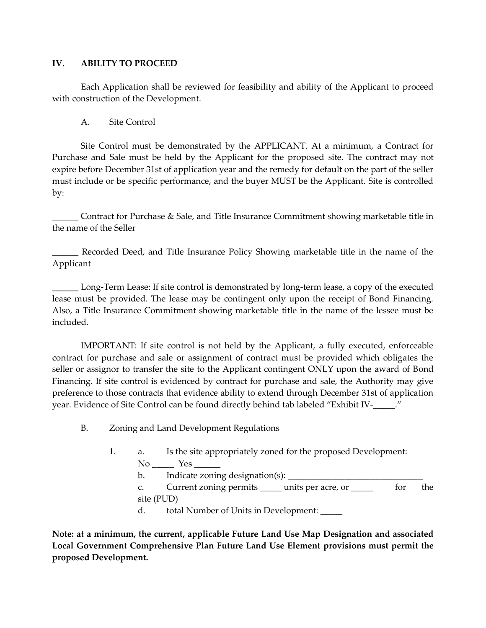### **IV. ABILITY TO PROCEED**

Each Application shall be reviewed for feasibility and ability of the Applicant to proceed with construction of the Development.

## A. Site Control

Site Control must be demonstrated by the APPLICANT. At a minimum, a Contract for Purchase and Sale must be held by the Applicant for the proposed site. The contract may not expire before December 31st of application year and the remedy for default on the part of the seller must include or be specific performance, and the buyer MUST be the Applicant. Site is controlled by:

\_\_\_\_\_\_ Contract for Purchase & Sale, and Title Insurance Commitment showing marketable title in the name of the Seller

\_\_\_\_\_\_ Recorded Deed, and Title Insurance Policy Showing marketable title in the name of the Applicant

\_\_\_\_\_\_ Long-Term Lease: If site control is demonstrated by long-term lease, a copy of the executed lease must be provided. The lease may be contingent only upon the receipt of Bond Financing. Also, a Title Insurance Commitment showing marketable title in the name of the lessee must be included.

IMPORTANT: If site control is not held by the Applicant, a fully executed, enforceable contract for purchase and sale or assignment of contract must be provided which obligates the seller or assignor to transfer the site to the Applicant contingent ONLY upon the award of Bond Financing. If site control is evidenced by contract for purchase and sale, the Authority may give preference to those contracts that evidence ability to extend through December 31st of application year. Evidence of Site Control can be found directly behind tab labeled "Exhibit IV-\_\_\_\_\_."

- B. Zoning and Land Development Regulations
	- 1. a. Is the site appropriately zoned for the proposed Development:  $No \_\_\_\$  Yes  $\_$ 
		- b. Indicate zoning designation(s):

c. Current zoning permits \_\_\_\_\_ units per acre, or \_\_\_\_\_ for the site (PUD)

d. total Number of Units in Development: \_\_\_\_\_

**Note: at a minimum, the current, applicable Future Land Use Map Designation and associated Local Government Comprehensive Plan Future Land Use Element provisions must permit the proposed Development.**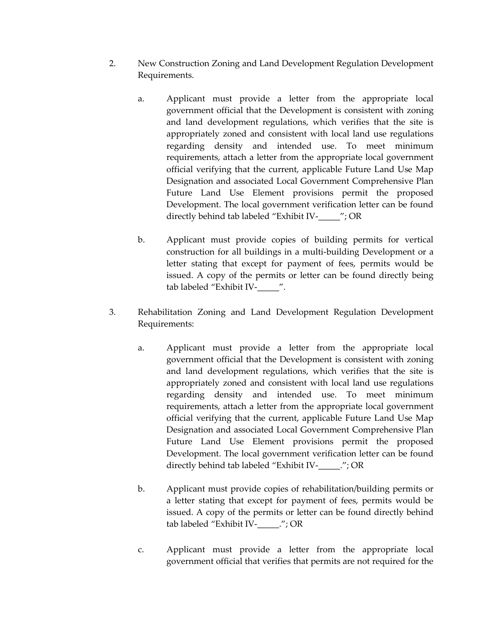- 2. New Construction Zoning and Land Development Regulation Development Requirements.
	- a. Applicant must provide a letter from the appropriate local government official that the Development is consistent with zoning and land development regulations, which verifies that the site is appropriately zoned and consistent with local land use regulations regarding density and intended use. To meet minimum requirements, attach a letter from the appropriate local government official verifying that the current, applicable Future Land Use Map Designation and associated Local Government Comprehensive Plan Future Land Use Element provisions permit the proposed Development. The local government verification letter can be found directly behind tab labeled "Exhibit IV-\_\_\_\_\_"; OR
	- b. Applicant must provide copies of building permits for vertical construction for all buildings in a multi-building Development or a letter stating that except for payment of fees, permits would be issued. A copy of the permits or letter can be found directly being tab labeled "Exhibit IV-\_\_\_\_\_".
- 3. Rehabilitation Zoning and Land Development Regulation Development Requirements:
	- a. Applicant must provide a letter from the appropriate local government official that the Development is consistent with zoning and land development regulations, which verifies that the site is appropriately zoned and consistent with local land use regulations regarding density and intended use. To meet minimum requirements, attach a letter from the appropriate local government official verifying that the current, applicable Future Land Use Map Designation and associated Local Government Comprehensive Plan Future Land Use Element provisions permit the proposed Development. The local government verification letter can be found directly behind tab labeled "Exhibit IV-\_\_\_\_\_."; OR
	- b. Applicant must provide copies of rehabilitation/building permits or a letter stating that except for payment of fees, permits would be issued. A copy of the permits or letter can be found directly behind tab labeled "Exhibit IV-\_\_\_\_\_."; OR
	- c. Applicant must provide a letter from the appropriate local government official that verifies that permits are not required for the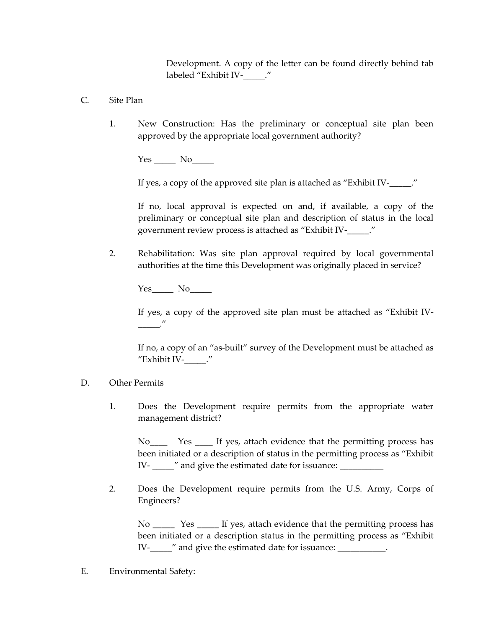Development. A copy of the letter can be found directly behind tab labeled "Exhibit IV-\_\_\_\_\_."

- C. Site Plan
	- 1. New Construction: Has the preliminary or conceptual site plan been approved by the appropriate local government authority?

Yes \_\_\_\_\_ No\_\_\_\_\_

If yes, a copy of the approved site plan is attached as "Exhibit IV-\_\_\_\_\_."

If no, local approval is expected on and, if available, a copy of the preliminary or conceptual site plan and description of status in the local government review process is attached as "Exhibit IV-\_\_\_\_\_."

2. Rehabilitation: Was site plan approval required by local governmental authorities at the time this Development was originally placed in service?

Yes\_\_\_\_\_ No\_\_\_\_\_

If yes, a copy of the approved site plan must be attached as "Exhibit IV- \_\_\_\_\_."

If no, a copy of an "as-built" survey of the Development must be attached as "Exhibit IV-\_\_\_\_\_."

- D. Other Permits
	- 1. Does the Development require permits from the appropriate water management district?

No\_\_\_\_ Yes \_\_\_\_ If yes, attach evidence that the permitting process has been initiated or a description of status in the permitting process as "Exhibit IV- \_\_\_\_\_" and give the estimated date for issuance: \_\_\_\_\_\_\_\_\_\_\_

2. Does the Development require permits from the U.S. Army, Corps of Engineers?

No Sample 1 Yes States is the vidence that the permitting process has been initiated or a description status in the permitting process as "Exhibit IV-\_\_\_\_\_" and give the estimated date for issuance: \_\_\_\_\_\_\_\_\_\_\_.

E. Environmental Safety: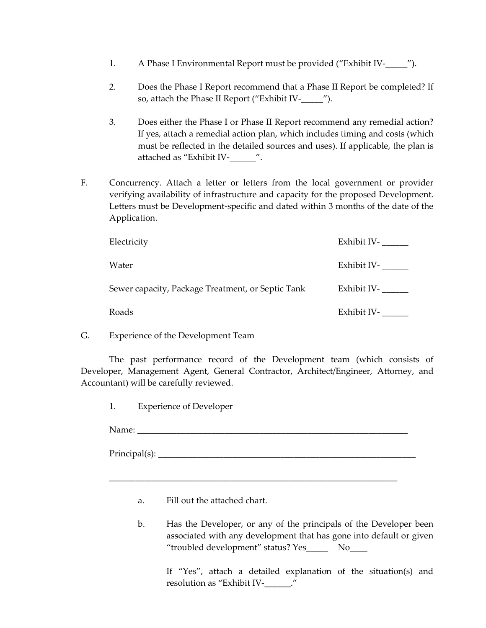- 1. A Phase I Environmental Report must be provided ("Exhibit IV-  $\ldots$ ").
- 2. Does the Phase I Report recommend that a Phase II Report be completed? If so, attach the Phase II Report ("Exhibit IV-\_\_\_\_\_").
- 3. Does either the Phase I or Phase II Report recommend any remedial action? If yes, attach a remedial action plan, which includes timing and costs (which must be reflected in the detailed sources and uses). If applicable, the plan is attached as "Exhibit IV-\_\_\_\_\_\_".
- F. Concurrency. Attach a letter or letters from the local government or provider verifying availability of infrastructure and capacity for the proposed Development. Letters must be Development-specific and dated within 3 months of the date of the Application.

| Electricity                                       | Exhibit IV- |
|---------------------------------------------------|-------------|
| Water                                             | Exhibit IV- |
| Sewer capacity, Package Treatment, or Septic Tank | Exhibit IV- |
| Roads                                             | Exhibit IV- |

G. Experience of the Development Team

The past performance record of the Development team (which consists of Developer, Management Agent, General Contractor, Architect/Engineer, Attorney, and Accountant) will be carefully reviewed.

\_\_\_\_\_\_\_\_\_\_\_\_\_\_\_\_\_\_\_\_\_\_\_\_\_\_\_\_\_\_\_\_\_\_\_\_\_\_\_\_\_\_\_\_\_\_\_\_\_\_\_\_\_\_\_\_\_\_\_\_\_\_\_\_\_\_

1. Experience of Developer

Name:

Principal(s): \_\_\_\_\_\_\_\_\_\_\_\_\_\_\_\_\_\_\_\_\_\_\_\_\_\_\_\_\_\_\_\_\_\_\_\_\_\_\_\_\_\_\_\_\_\_\_\_\_\_\_\_\_\_\_\_\_\_\_

- a. Fill out the attached chart.
- b. Has the Developer, or any of the principals of the Developer been associated with any development that has gone into default or given "troubled development" status? Yes\_\_\_\_\_\_ No\_\_\_\_

If "Yes", attach a detailed explanation of the situation(s) and resolution as "Exhibit IV-\_\_\_\_\_\_."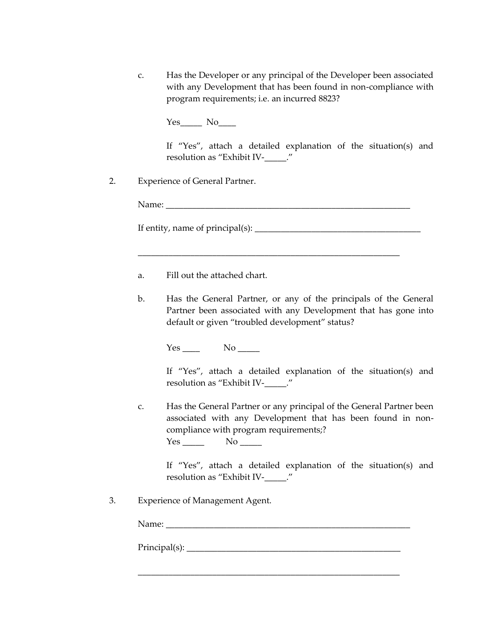c. Has the Developer or any principal of the Developer been associated with any Development that has been found in non-compliance with program requirements; i.e. an incurred 8823?

Yes No

If "Yes", attach a detailed explanation of the situation(s) and resolution as "Exhibit IV-\_\_\_\_\_."

2. Experience of General Partner.

Name: \_\_\_\_\_\_\_\_\_\_\_\_\_\_\_\_\_\_\_\_\_\_\_\_\_\_\_\_\_\_\_\_\_\_\_\_\_\_\_\_\_\_\_\_\_\_\_\_\_\_\_\_\_\_\_\_

If entity, name of principal(s): \_\_\_\_\_\_\_\_\_\_\_\_\_\_\_\_\_\_\_\_\_\_\_\_\_\_\_\_\_\_\_\_\_\_\_\_\_\_

\_\_\_\_\_\_\_\_\_\_\_\_\_\_\_\_\_\_\_\_\_\_\_\_\_\_\_\_\_\_\_\_\_\_\_\_\_\_\_\_\_\_\_\_\_\_\_\_\_\_\_\_\_\_\_\_\_\_\_\_

- a. Fill out the attached chart.
- b. Has the General Partner, or any of the principals of the General Partner been associated with any Development that has gone into default or given "troubled development" status?

Yes No

If "Yes", attach a detailed explanation of the situation(s) and resolution as "Exhibit IV-\_\_\_\_\_."

c. Has the General Partner or any principal of the General Partner been associated with any Development that has been found in noncompliance with program requirements;? Yes \_\_\_\_\_\_\_ No \_\_\_\_\_\_

\_\_\_\_\_\_\_\_\_\_\_\_\_\_\_\_\_\_\_\_\_\_\_\_\_\_\_\_\_\_\_\_\_\_\_\_\_\_\_\_\_\_\_\_\_\_\_\_\_\_\_\_\_\_\_\_\_\_\_\_

If "Yes", attach a detailed explanation of the situation(s) and resolution as "Exhibit IV-\_\_\_\_\_."

3. Experience of Management Agent.

Name:

Principal(s): \_\_\_\_\_\_\_\_\_\_\_\_\_\_\_\_\_\_\_\_\_\_\_\_\_\_\_\_\_\_\_\_\_\_\_\_\_\_\_\_\_\_\_\_\_\_\_\_\_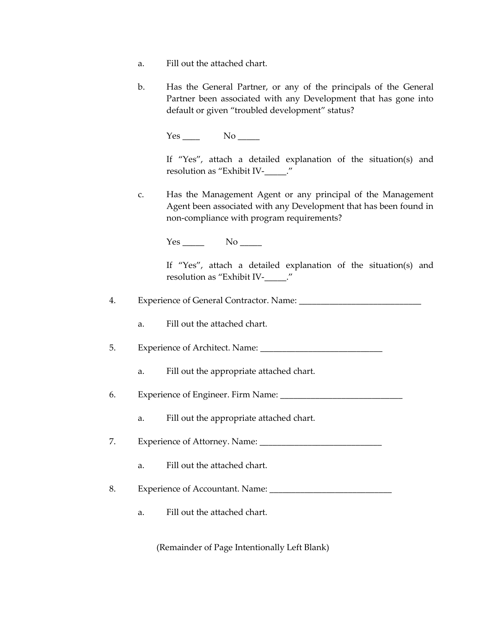- a. Fill out the attached chart.
- b. Has the General Partner, or any of the principals of the General Partner been associated with any Development that has gone into default or given "troubled development" status?

 $Yes$  No  $No$ 

If "Yes", attach a detailed explanation of the situation(s) and resolution as "Exhibit IV-\_\_\_\_\_."

c. Has the Management Agent or any principal of the Management Agent been associated with any Development that has been found in non-compliance with program requirements?

Yes No

If "Yes", attach a detailed explanation of the situation(s) and resolution as "Exhibit IV-\_\_\_\_\_."

4. Experience of General Contractor. Name: \_\_\_\_\_\_\_\_\_\_\_\_\_\_\_\_\_\_\_\_\_\_\_\_\_\_\_\_

a. Fill out the attached chart.

- 5. Experience of Architect. Name:
	- a. Fill out the appropriate attached chart.

6. Experience of Engineer. Firm Name: \_\_\_\_\_\_\_\_\_\_\_\_\_\_\_\_\_\_\_\_\_\_\_\_\_\_\_\_

a. Fill out the appropriate attached chart.

7. Experience of Attorney. Name: \_\_\_\_\_\_\_\_\_\_\_\_\_\_\_\_\_\_\_\_\_\_\_\_\_\_\_\_

a. Fill out the attached chart.

8. Experience of Accountant. Name: \_\_\_\_\_\_\_\_\_\_\_\_\_\_\_\_\_\_\_\_\_\_\_\_\_\_\_\_

a. Fill out the attached chart.

(Remainder of Page Intentionally Left Blank)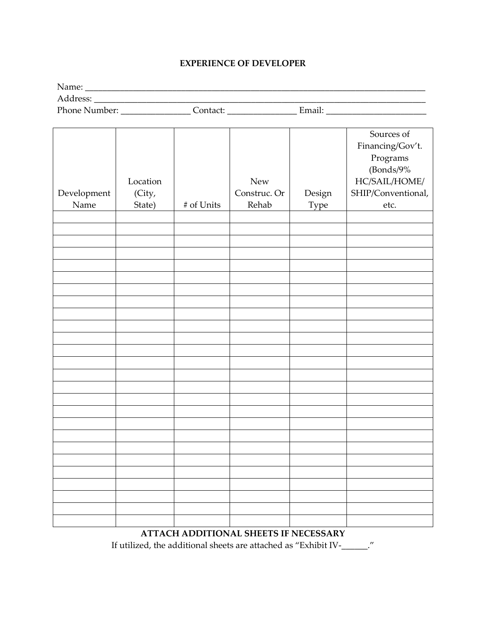#### **EXPERIENCE OF DEVELOPER**

| Name:         |          |        |  |
|---------------|----------|--------|--|
| Address:      |          |        |  |
| Phone Number: | Contact: | Email: |  |

|             |          |            |              |        | Sources of         |
|-------------|----------|------------|--------------|--------|--------------------|
|             |          |            |              |        |                    |
|             |          |            |              |        | Financing/Gov't.   |
|             |          |            |              |        | Programs           |
|             |          |            |              |        | (Bonds/9%          |
|             | Location |            | <b>New</b>   |        | $HC/SAIL/HOME/$    |
| Development | (City,   |            | Construc. Or | Design | SHIP/Conventional, |
| Name        | State)   | # of Units | Rehab        | Type   | etc.               |
|             |          |            |              |        |                    |
|             |          |            |              |        |                    |
|             |          |            |              |        |                    |
|             |          |            |              |        |                    |
|             |          |            |              |        |                    |
|             |          |            |              |        |                    |
|             |          |            |              |        |                    |
|             |          |            |              |        |                    |
|             |          |            |              |        |                    |
|             |          |            |              |        |                    |
|             |          |            |              |        |                    |
|             |          |            |              |        |                    |
|             |          |            |              |        |                    |
|             |          |            |              |        |                    |
|             |          |            |              |        |                    |
|             |          |            |              |        |                    |
|             |          |            |              |        |                    |
|             |          |            |              |        |                    |
|             |          |            |              |        |                    |
|             |          |            |              |        |                    |
|             |          |            |              |        |                    |
|             |          |            |              |        |                    |
|             |          |            |              |        |                    |
|             |          |            |              |        |                    |
|             |          |            |              |        |                    |
|             |          |            |              |        |                    |

# **ATTACH ADDITIONAL SHEETS IF NECESSARY**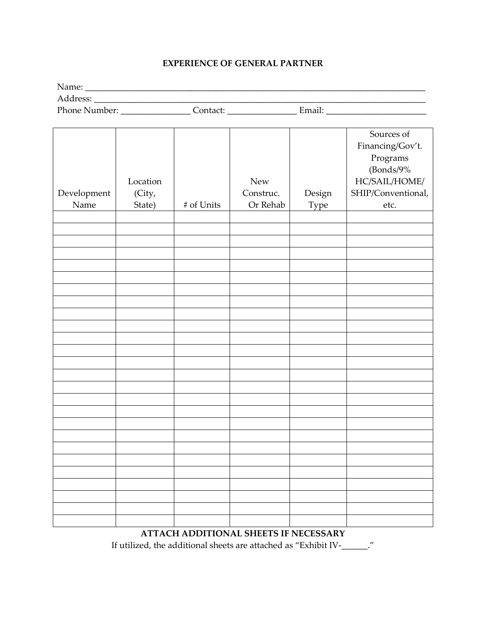#### **EXPERIENCE OF GENERAL PARTNER**

Name: \_\_\_\_\_\_\_\_\_\_\_\_\_\_\_\_\_\_\_\_\_\_\_\_\_\_\_\_\_\_\_\_\_\_\_\_\_\_\_\_\_\_\_\_\_\_\_\_\_\_\_\_\_\_\_\_\_\_\_\_\_\_\_\_\_\_\_\_\_\_\_\_\_\_\_\_\_\_ Address: \_\_\_\_\_\_\_\_\_\_\_\_\_\_\_\_\_\_\_\_\_\_\_\_\_\_\_\_\_\_\_\_\_\_\_\_\_\_\_\_\_\_\_\_\_\_\_\_\_\_\_\_\_\_\_\_\_\_\_\_\_\_\_\_\_\_\_\_\_\_\_\_\_\_\_\_ Phone Number: \_\_\_\_\_\_\_\_\_\_\_\_\_\_\_\_ Contact: \_\_\_\_\_\_\_\_\_\_\_\_\_\_\_\_ Email: \_\_\_\_\_\_\_\_\_\_\_\_\_\_\_\_\_\_\_\_\_\_\_

| Development<br>Name | Location<br>(City,<br>State) | # of Units | <b>New</b><br>Construc.<br>Or Rehab | Design<br>Type | Sources of<br>Financing/Gov't.<br>Programs<br>(Bonds/9%<br>$\rm HC/SAIL/HOME/$<br>SHIP/Conventional,<br>etc. |
|---------------------|------------------------------|------------|-------------------------------------|----------------|--------------------------------------------------------------------------------------------------------------|
|                     |                              |            |                                     |                |                                                                                                              |
|                     |                              |            |                                     |                |                                                                                                              |
|                     |                              |            |                                     |                |                                                                                                              |
|                     |                              |            |                                     |                |                                                                                                              |
|                     |                              |            |                                     |                |                                                                                                              |
|                     |                              |            |                                     |                |                                                                                                              |
|                     |                              |            |                                     |                |                                                                                                              |
|                     |                              |            |                                     |                |                                                                                                              |
|                     |                              |            |                                     |                |                                                                                                              |
|                     |                              |            |                                     |                |                                                                                                              |
|                     |                              |            |                                     |                |                                                                                                              |
|                     |                              |            |                                     |                |                                                                                                              |
|                     |                              |            |                                     |                |                                                                                                              |
|                     |                              |            |                                     |                |                                                                                                              |
|                     |                              |            |                                     |                |                                                                                                              |
|                     |                              |            |                                     |                |                                                                                                              |
|                     |                              |            |                                     |                |                                                                                                              |
|                     |                              |            |                                     |                |                                                                                                              |
|                     |                              |            |                                     |                |                                                                                                              |
|                     |                              |            |                                     |                |                                                                                                              |
|                     |                              |            |                                     |                |                                                                                                              |
|                     |                              |            |                                     |                |                                                                                                              |
|                     |                              |            |                                     |                |                                                                                                              |
|                     |                              |            |                                     |                |                                                                                                              |
|                     |                              |            |                                     |                |                                                                                                              |
|                     |                              |            |                                     |                |                                                                                                              |
|                     |                              |            |                                     |                |                                                                                                              |

# **ATTACH ADDITIONAL SHEETS IF NECESSARY**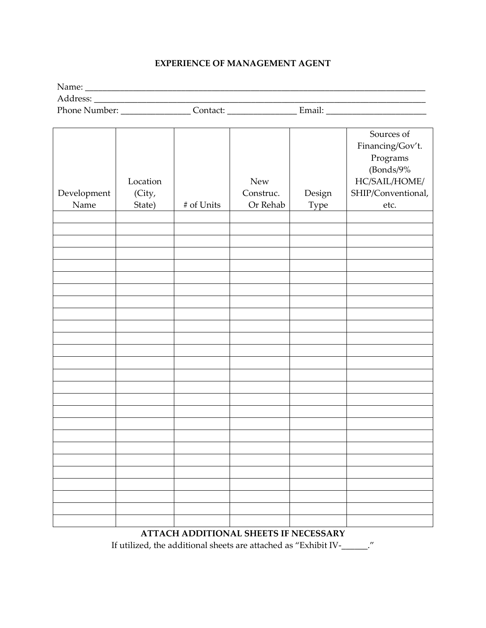# **EXPERIENCE OF MANAGEMENT AGENT**

| Name:         |          |        |  |
|---------------|----------|--------|--|
| Address:      |          |        |  |
| Phone Number: | Contact: | Email: |  |

| Development<br>Name | Location<br>(City,<br>State) | # of Units | <b>New</b><br>Construc.<br>Or Rehab | Design<br>Type | Sources of<br>Financing/Gov't.<br>Programs<br>(Bonds/9%<br>$HC/SAIL/HOME/$<br>SHIP/Conventional,<br>etc. |
|---------------------|------------------------------|------------|-------------------------------------|----------------|----------------------------------------------------------------------------------------------------------|
|                     |                              |            |                                     |                |                                                                                                          |
|                     |                              |            |                                     |                |                                                                                                          |
|                     |                              |            |                                     |                |                                                                                                          |
|                     |                              |            |                                     |                |                                                                                                          |
|                     |                              |            |                                     |                |                                                                                                          |
|                     |                              |            |                                     |                |                                                                                                          |
|                     |                              |            |                                     |                |                                                                                                          |
|                     |                              |            |                                     |                |                                                                                                          |
|                     |                              |            |                                     |                |                                                                                                          |
|                     |                              |            |                                     |                |                                                                                                          |
|                     |                              |            |                                     |                |                                                                                                          |
|                     |                              |            |                                     |                |                                                                                                          |
|                     |                              |            |                                     |                |                                                                                                          |
|                     |                              |            |                                     |                |                                                                                                          |
|                     |                              |            |                                     |                |                                                                                                          |
|                     |                              |            |                                     |                |                                                                                                          |
|                     |                              |            |                                     |                |                                                                                                          |
|                     |                              |            |                                     |                |                                                                                                          |
|                     |                              |            |                                     |                |                                                                                                          |
|                     |                              |            |                                     |                |                                                                                                          |
|                     |                              |            |                                     |                |                                                                                                          |
|                     |                              |            |                                     |                |                                                                                                          |
|                     |                              |            |                                     |                |                                                                                                          |
|                     |                              |            |                                     |                |                                                                                                          |
|                     |                              |            |                                     |                |                                                                                                          |

# **ATTACH ADDITIONAL SHEETS IF NECESSARY**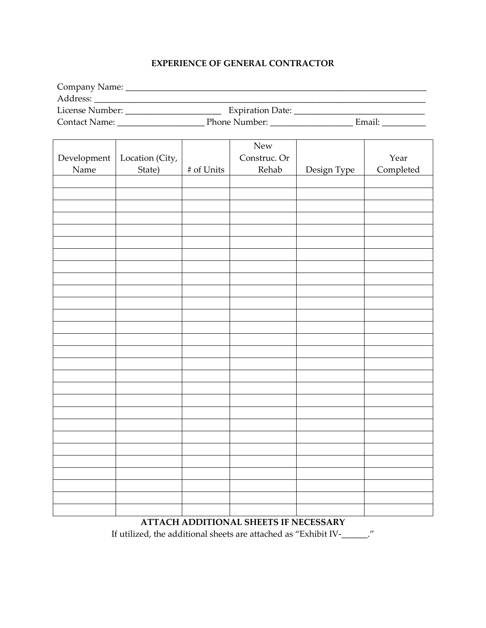# **EXPERIENCE OF GENERAL CONTRACTOR**

| Company Name:   |                         |        |
|-----------------|-------------------------|--------|
| Address:        |                         |        |
| License Number: | <b>Expiration Date:</b> |        |
| Contact Name:   | Phone Number:           | Email: |

|             |                 |               | ${\hbox{New}}$ |             |           |
|-------------|-----------------|---------------|----------------|-------------|-----------|
| Development | Location (City, |               | Construc. Or   |             | Year      |
| Name        | State)          | $\#$ of Units | Rehab          | Design Type | Completed |
|             |                 |               |                |             |           |
|             |                 |               |                |             |           |
|             |                 |               |                |             |           |
|             |                 |               |                |             |           |
|             |                 |               |                |             |           |
|             |                 |               |                |             |           |
|             |                 |               |                |             |           |
|             |                 |               |                |             |           |
|             |                 |               |                |             |           |
|             |                 |               |                |             |           |
|             |                 |               |                |             |           |
|             |                 |               |                |             |           |
|             |                 |               |                |             |           |
|             |                 |               |                |             |           |
|             |                 |               |                |             |           |
|             |                 |               |                |             |           |
|             |                 |               |                |             |           |
|             |                 |               |                |             |           |
|             |                 |               |                |             |           |
|             |                 |               |                |             |           |
|             |                 |               |                |             |           |
|             |                 |               |                |             |           |
|             |                 |               |                |             |           |
|             |                 |               |                |             |           |
|             |                 |               |                |             |           |
|             |                 |               |                |             |           |
|             |                 |               |                |             |           |
|             |                 |               |                |             |           |

# **ATTACH ADDITIONAL SHEETS IF NECESSARY**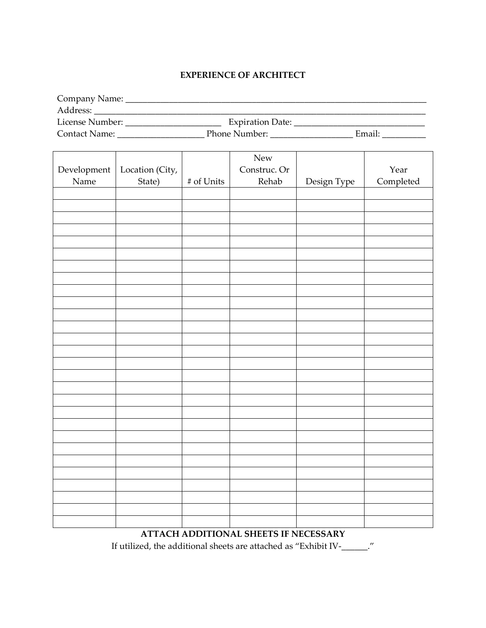## **EXPERIENCE OF ARCHITECT**

| Company Name:        |                         |        |
|----------------------|-------------------------|--------|
| Address:             |                         |        |
| License Number:      | <b>Expiration Date:</b> |        |
| <b>Contact Name:</b> | Phone Number:           | Email: |

|                      |                 |            | New                                   |             |           |
|----------------------|-----------------|------------|---------------------------------------|-------------|-----------|
| $\mbox{Development}$ | Location (City, |            | Construc. Or                          |             | Year      |
| Name                 | State)          | # of Units | Rehab                                 | Design Type | Completed |
|                      |                 |            |                                       |             |           |
|                      |                 |            |                                       |             |           |
|                      |                 |            |                                       |             |           |
|                      |                 |            |                                       |             |           |
|                      |                 |            |                                       |             |           |
|                      |                 |            |                                       |             |           |
|                      |                 |            |                                       |             |           |
|                      |                 |            |                                       |             |           |
|                      |                 |            |                                       |             |           |
|                      |                 |            |                                       |             |           |
|                      |                 |            |                                       |             |           |
|                      |                 |            |                                       |             |           |
|                      |                 |            |                                       |             |           |
|                      |                 |            |                                       |             |           |
|                      |                 |            |                                       |             |           |
|                      |                 |            |                                       |             |           |
|                      |                 |            |                                       |             |           |
|                      |                 |            |                                       |             |           |
|                      |                 |            |                                       |             |           |
|                      |                 |            |                                       |             |           |
|                      |                 |            |                                       |             |           |
|                      |                 |            |                                       |             |           |
|                      |                 |            |                                       |             |           |
|                      |                 |            |                                       |             |           |
|                      |                 |            |                                       |             |           |
|                      |                 |            |                                       |             |           |
|                      |                 |            |                                       |             |           |
|                      |                 |            |                                       |             |           |
|                      |                 |            | ATTACH ADDITIONAL SHEETS IF NECESSARY |             |           |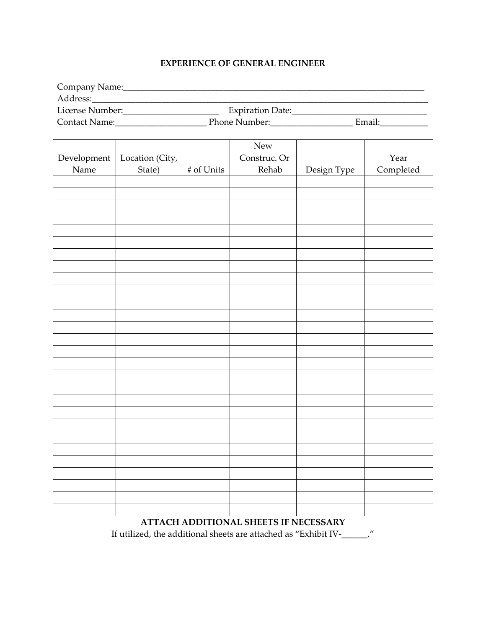# **EXPERIENCE OF GENERAL ENGINEER**

| Company Name:   |                         |        |
|-----------------|-------------------------|--------|
| Address:        |                         |        |
| License Number: | <b>Expiration Date:</b> |        |
| Contact Name:   | Phone Number:           | Email: |

|             |                 |               | New          |             |           |
|-------------|-----------------|---------------|--------------|-------------|-----------|
| Development | Location (City, |               | Construc. Or |             | Year      |
| Name        | State)          | $\#$ of Units | Rehab        | Design Type | Completed |
|             |                 |               |              |             |           |
|             |                 |               |              |             |           |
|             |                 |               |              |             |           |
|             |                 |               |              |             |           |
|             |                 |               |              |             |           |
|             |                 |               |              |             |           |
|             |                 |               |              |             |           |
|             |                 |               |              |             |           |
|             |                 |               |              |             |           |
|             |                 |               |              |             |           |
|             |                 |               |              |             |           |
|             |                 |               |              |             |           |
|             |                 |               |              |             |           |
|             |                 |               |              |             |           |
|             |                 |               |              |             |           |
|             |                 |               |              |             |           |
|             |                 |               |              |             |           |
|             |                 |               |              |             |           |
|             |                 |               |              |             |           |
|             |                 |               |              |             |           |
|             |                 |               |              |             |           |
|             |                 |               |              |             |           |
|             |                 |               |              |             |           |
|             |                 |               |              |             |           |
|             |                 |               |              |             |           |
|             |                 |               |              |             |           |
|             |                 |               |              |             |           |
|             |                 |               |              |             |           |

# **ATTACH ADDITIONAL SHEETS IF NECESSARY**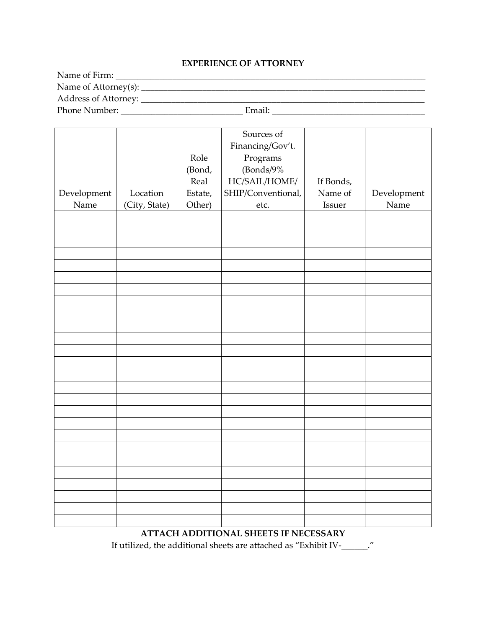#### **EXPERIENCE OF ATTORNEY**

Name of Firm: \_\_\_\_\_\_\_\_\_\_\_\_\_\_\_\_\_\_\_\_\_\_\_\_\_\_\_\_\_\_\_\_\_\_\_\_\_\_\_\_\_\_\_\_\_\_\_\_\_\_\_\_\_\_\_\_\_\_\_\_\_\_\_\_\_\_\_\_\_\_\_ Name of Attorney(s): \_\_\_\_\_\_\_\_\_\_\_\_\_\_\_\_\_\_\_\_\_\_\_\_\_\_\_\_\_\_\_\_\_\_\_\_\_\_\_\_\_\_\_\_\_\_\_\_\_\_\_\_\_\_\_\_\_\_\_\_\_\_\_\_\_ Address of Attorney: \_\_\_\_\_\_\_\_\_\_\_\_\_\_\_\_\_\_\_\_\_\_\_\_\_\_\_\_\_\_\_\_\_\_\_\_\_\_\_\_\_\_\_\_\_\_\_\_\_\_\_\_\_\_\_\_\_\_\_\_\_\_\_\_\_ Phone Number: \_\_\_\_\_\_\_\_\_\_\_\_\_\_\_\_\_\_\_\_\_\_\_\_\_\_\_\_ Email: \_\_\_\_\_\_\_\_\_\_\_\_\_\_\_\_\_\_\_\_\_\_\_\_\_\_\_\_\_\_\_\_\_\_\_

|             |               |         | Sources of         |           |             |
|-------------|---------------|---------|--------------------|-----------|-------------|
|             |               |         | Financing/Gov't.   |           |             |
|             |               | Role    | Programs           |           |             |
|             |               | (Bond,  | (Bonds/9%          |           |             |
|             |               | Real    | HC/SAIL/HOME/      | If Bonds, |             |
| Development | Location      | Estate, | SHIP/Conventional, | Name of   | Development |
| Name        | (City, State) | Other)  | etc.               | Issuer    | Name        |
|             |               |         |                    |           |             |
|             |               |         |                    |           |             |
|             |               |         |                    |           |             |
|             |               |         |                    |           |             |
|             |               |         |                    |           |             |
|             |               |         |                    |           |             |
|             |               |         |                    |           |             |
|             |               |         |                    |           |             |
|             |               |         |                    |           |             |
|             |               |         |                    |           |             |
|             |               |         |                    |           |             |
|             |               |         |                    |           |             |
|             |               |         |                    |           |             |
|             |               |         |                    |           |             |
|             |               |         |                    |           |             |
|             |               |         |                    |           |             |
|             |               |         |                    |           |             |
|             |               |         |                    |           |             |
|             |               |         |                    |           |             |
|             |               |         |                    |           |             |
|             |               |         |                    |           |             |
|             |               |         |                    |           |             |
|             |               |         |                    |           |             |
|             |               |         |                    |           |             |
|             |               |         |                    |           |             |
|             |               |         |                    |           |             |
|             |               |         |                    |           |             |

# **ATTACH ADDITIONAL SHEETS IF NECESSARY**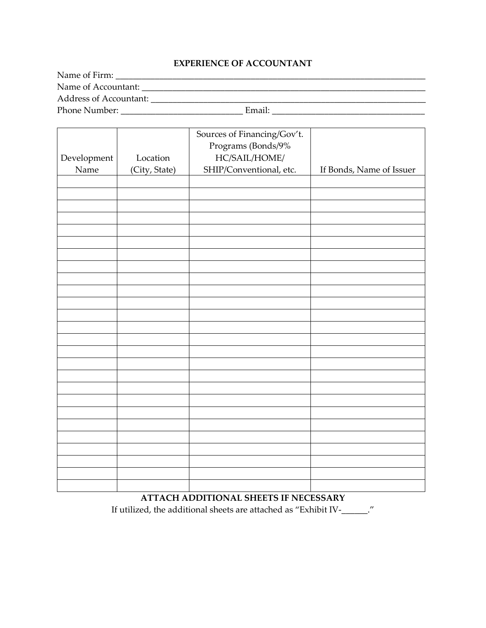#### **EXPERIENCE OF ACCOUNTANT**

Name of Firm: \_\_\_\_\_\_\_\_\_\_\_\_\_\_\_\_\_\_\_\_\_\_\_\_\_\_\_\_\_\_\_\_\_\_\_\_\_\_\_\_\_\_\_\_\_\_\_\_\_\_\_\_\_\_\_\_\_\_\_\_\_\_\_\_\_\_\_\_\_\_\_ Name of Accountant: \_\_\_\_\_\_\_\_\_\_\_\_\_\_\_\_\_\_\_\_\_\_\_\_\_\_\_\_\_\_\_\_\_\_\_\_\_\_\_\_\_\_\_\_\_\_\_\_\_\_\_\_\_\_\_\_\_\_\_\_\_\_\_\_\_ Address of Accountant: \_\_\_\_\_\_\_\_\_\_\_\_\_\_\_\_\_\_\_\_\_\_\_\_\_\_\_\_\_\_\_\_\_\_\_\_\_\_\_\_\_\_\_\_\_\_\_\_\_\_\_\_\_\_\_\_\_\_\_\_\_\_\_ Phone Number: \_\_\_\_\_\_\_\_\_\_\_\_\_\_\_\_\_\_\_\_\_\_\_\_\_\_\_\_ Email: \_\_\_\_\_\_\_\_\_\_\_\_\_\_\_\_\_\_\_\_\_\_\_\_\_\_\_\_\_\_\_\_\_\_\_

|             |               | Sources of Financing/Gov't. |                          |
|-------------|---------------|-----------------------------|--------------------------|
|             |               | Programs (Bonds/9%          |                          |
| Development | Location      | $\rm HC/SAIL/HOME/$         |                          |
| Name        | (City, State) | SHIP/Conventional, etc.     | If Bonds, Name of Issuer |
|             |               |                             |                          |
|             |               |                             |                          |
|             |               |                             |                          |
|             |               |                             |                          |
|             |               |                             |                          |
|             |               |                             |                          |
|             |               |                             |                          |
|             |               |                             |                          |
|             |               |                             |                          |
|             |               |                             |                          |
|             |               |                             |                          |
|             |               |                             |                          |
|             |               |                             |                          |
|             |               |                             |                          |
|             |               |                             |                          |
|             |               |                             |                          |
|             |               |                             |                          |
|             |               |                             |                          |
|             |               |                             |                          |
|             |               |                             |                          |
|             |               |                             |                          |
|             |               |                             |                          |
|             |               |                             |                          |
|             |               |                             |                          |
|             |               |                             |                          |
|             |               |                             |                          |

**ATTACH ADDITIONAL SHEETS IF NECESSARY** If utilized, the additional sheets are attached as "Exhibit IV-\_\_\_\_\_\_."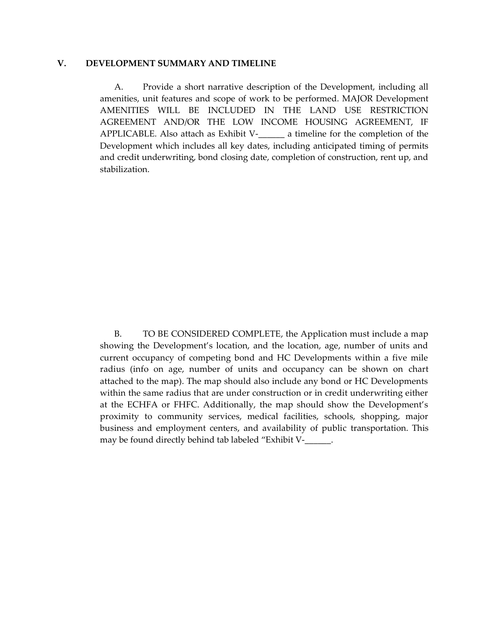#### **V. DEVELOPMENT SUMMARY AND TIMELINE**

A. Provide a short narrative description of the Development, including all amenities, unit features and scope of work to be performed. MAJOR Development AMENITIES WILL BE INCLUDED IN THE LAND USE RESTRICTION AGREEMENT AND/OR THE LOW INCOME HOUSING AGREEMENT, IF APPLICABLE. Also attach as Exhibit V-\_\_\_\_\_\_ a timeline for the completion of the Development which includes all key dates, including anticipated timing of permits and credit underwriting, bond closing date, completion of construction, rent up, and stabilization.

B. TO BE CONSIDERED COMPLETE, the Application must include a map showing the Development's location, and the location, age, number of units and current occupancy of competing bond and HC Developments within a five mile radius (info on age, number of units and occupancy can be shown on chart attached to the map). The map should also include any bond or HC Developments within the same radius that are under construction or in credit underwriting either at the ECHFA or FHFC. Additionally, the map should show the Development's proximity to community services, medical facilities, schools, shopping, major business and employment centers, and availability of public transportation. This may be found directly behind tab labeled "Exhibit V-\_\_\_\_\_\_.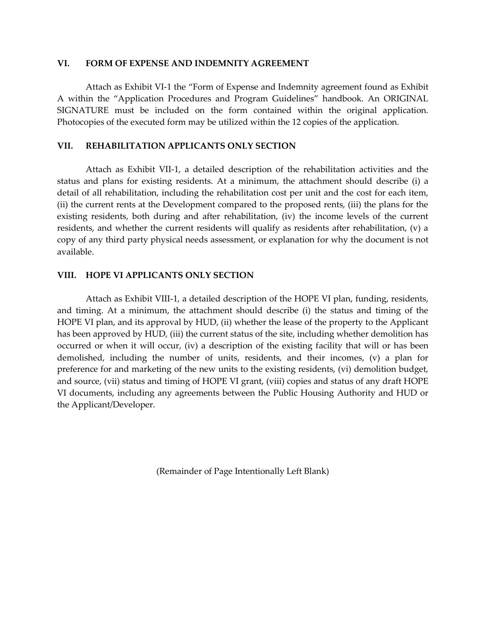#### **VI. FORM OF EXPENSE AND INDEMNITY AGREEMENT**

Attach as Exhibit VI-1 the "Form of Expense and Indemnity agreement found as Exhibit A within the "Application Procedures and Program Guidelines" handbook. An ORIGINAL SIGNATURE must be included on the form contained within the original application. Photocopies of the executed form may be utilized within the 12 copies of the application.

#### **VII. REHABILITATION APPLICANTS ONLY SECTION**

Attach as Exhibit VII-1, a detailed description of the rehabilitation activities and the status and plans for existing residents. At a minimum, the attachment should describe (i) a detail of all rehabilitation, including the rehabilitation cost per unit and the cost for each item, (ii) the current rents at the Development compared to the proposed rents, (iii) the plans for the existing residents, both during and after rehabilitation, (iv) the income levels of the current residents, and whether the current residents will qualify as residents after rehabilitation, (v) a copy of any third party physical needs assessment, or explanation for why the document is not available.

#### **VIII. HOPE VI APPLICANTS ONLY SECTION**

Attach as Exhibit VIII-1, a detailed description of the HOPE VI plan, funding, residents, and timing. At a minimum, the attachment should describe (i) the status and timing of the HOPE VI plan, and its approval by HUD, (ii) whether the lease of the property to the Applicant has been approved by HUD, (iii) the current status of the site, including whether demolition has occurred or when it will occur, (iv) a description of the existing facility that will or has been demolished, including the number of units, residents, and their incomes, (v) a plan for preference for and marketing of the new units to the existing residents, (vi) demolition budget, and source, (vii) status and timing of HOPE VI grant, (viii) copies and status of any draft HOPE VI documents, including any agreements between the Public Housing Authority and HUD or the Applicant/Developer.

(Remainder of Page Intentionally Left Blank)